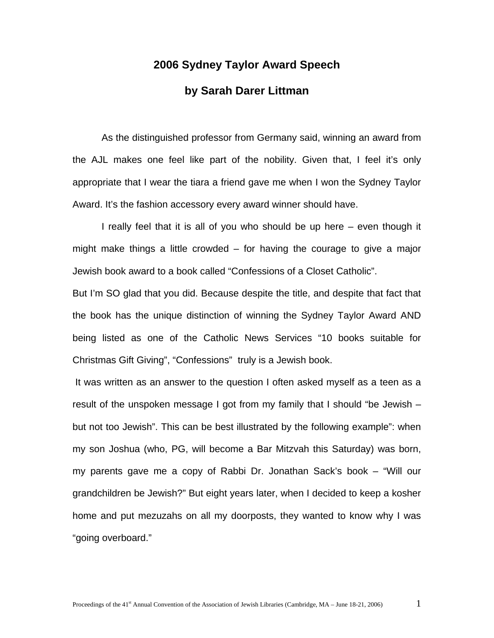## **2006 Sydney Taylor Award Speech by Sarah Darer Littman**

As the distinguished professor from Germany said, winning an award from the AJL makes one feel like part of the nobility. Given that, I feel it's only appropriate that I wear the tiara a friend gave me when I won the Sydney Taylor Award. It's the fashion accessory every award winner should have.

I really feel that it is all of you who should be up here – even though it might make things a little crowded – for having the courage to give a major Jewish book award to a book called "Confessions of a Closet Catholic".

But I'm SO glad that you did. Because despite the title, and despite that fact that the book has the unique distinction of winning the Sydney Taylor Award AND being listed as one of the Catholic News Services "10 books suitable for Christmas Gift Giving", "Confessions" truly is a Jewish book.

 It was written as an answer to the question I often asked myself as a teen as a result of the unspoken message I got from my family that I should "be Jewish – but not too Jewish". This can be best illustrated by the following example": when my son Joshua (who, PG, will become a Bar Mitzvah this Saturday) was born, my parents gave me a copy of Rabbi Dr. Jonathan Sack's book – "Will our grandchildren be Jewish?" But eight years later, when I decided to keep a kosher home and put mezuzahs on all my doorposts, they wanted to know why I was "going overboard."